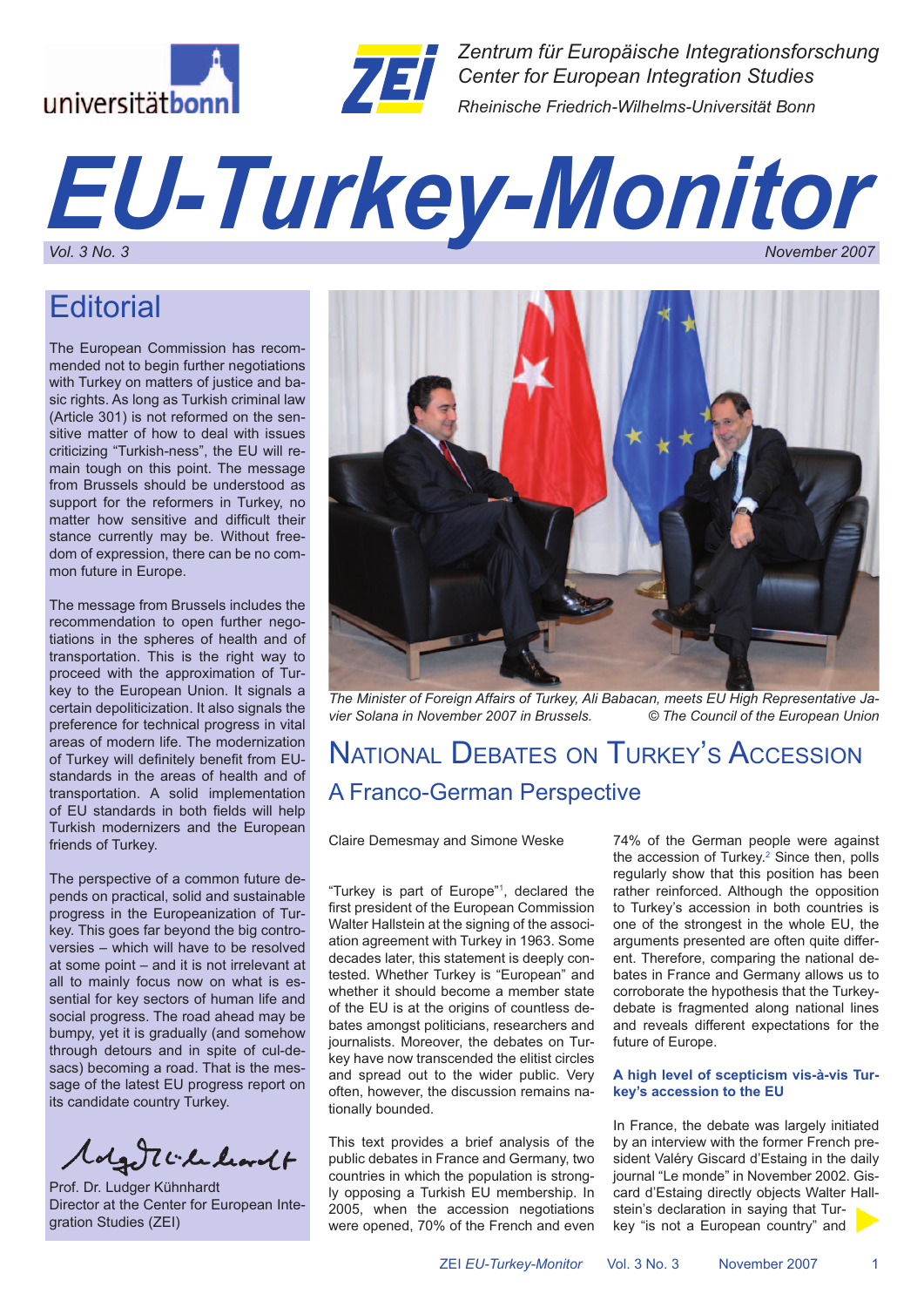



*Zentrum für Europäische Integrationsforschung Center for European Integration Studies Rheinische Friedrich-Wilhelms-Universität Bonn*

# *EU-Turkey-Monitor Vol. 3 No. 3 November 2007*

### **Editorial**

The European Commission has recommended not to begin further negotiations with Turkey on matters of justice and basic rights. As long as Turkish criminal law (Article 301) is not reformed on the sensitive matter of how to deal with issues criticizing "Turkish-ness", the EU will remain tough on this point. The message from Brussels should be understood as support for the reformers in Turkey, no matter how sensitive and difficult their stance currently may be. Without freedom of expression, there can be no common future in Europe.

The message from Brussels includes the recommendation to open further negotiations in the spheres of health and of transportation. This is the right way to proceed with the approximation of Turkey to the European Union. It signals a certain depoliticization. It also signals the preference for technical progress in vital areas of modern life. The modernization of Turkey will definitely benefit from EUstandards in the areas of health and of transportation. A solid implementation of EU standards in both fields will help Turkish modernizers and the European friends of Turkey.

The perspective of a common future depends on practical, solid and sustainable progress in the Europeanization of Turkey. This goes far beyond the big controversies – which will have to be resolved at some point – and it is not irrelevant at all to mainly focus now on what is essential for key sectors of human life and social progress. The road ahead may be bumpy, yet it is gradually (and somehow through detours and in spite of cul-desacs) becoming a road. That is the message of the latest EU progress report on its candidate country Turkey.

Magnitudeantt

Prof. Dr. Ludger Kühnhardt Director at the Center for European Integration Studies (ZEI)



*The Minister of Foreign Affairs of Turkey, Ali Babacan, meets EU High Representative Javier Solana in November 2007 in Brussels.* 

# NATIONAL DEBATES ON TURKEY'S ACCESSION A Franco-German Perspective

Claire Demesmay and Simone Weske

"Turkey is part of Europe"1 , declared the first president of the European Commission Walter Hallstein at the signing of the association agreement with Turkey in 1963. Some decades later, this statement is deeply contested. Whether Turkey is "European" and whether it should become a member state of the EU is at the origins of countless debates amongst politicians, researchers and journalists. Moreover, the debates on Turkey have now transcended the elitist circles and spread out to the wider public. Very often, however, the discussion remains nationally bounded.

This text provides a brief analysis of the public debates in France and Germany, two countries in which the population is strongly opposing a Turkish EU membership. In 2005, when the accession negotiations were opened, 70% of the French and even 74% of the German people were against the accession of Turkey.<sup>2</sup> Since then, polls regularly show that this position has been rather reinforced. Although the opposition to Turkey's accession in both countries is one of the strongest in the whole EU, the arguments presented are often quite different. Therefore, comparing the national debates in France and Germany allows us to corroborate the hypothesis that the Turkeydebate is fragmented along national lines and reveals different expectations for the future of Europe.

### **A high level of scepticism vis-à-vis Turkey's accession to the EU**

In France, the debate was largely initiated by an interview with the former French president Valéry Giscard d'Estaing in the daily journal "Le monde" in November 2002. Giscard d'Estaing directly objects Walter Hallstein's declaration in saying that Turkey "is not a European country" and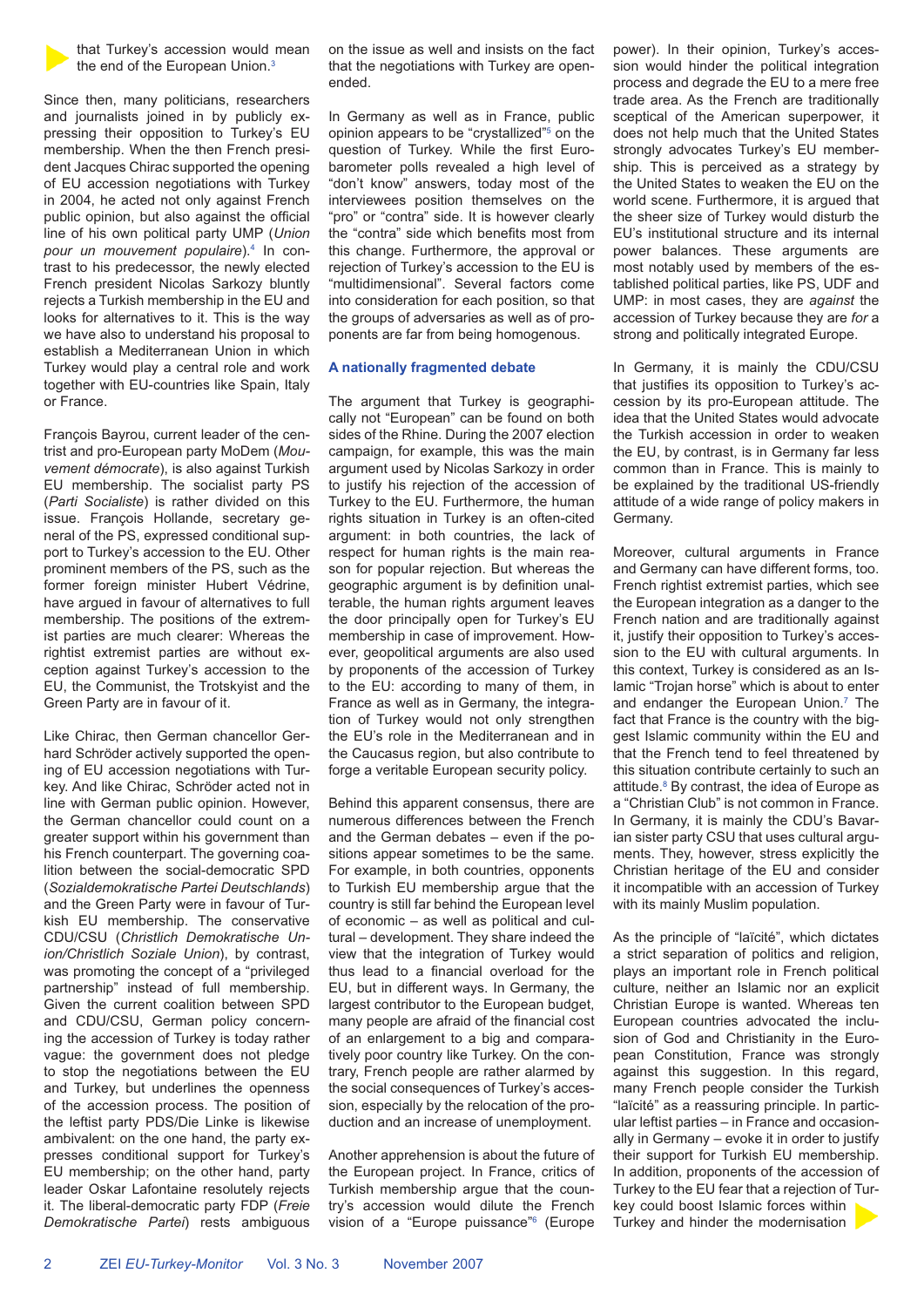

that Turkey's accession would mean the end of the European Union.<sup>3</sup>

Since then, many politicians, researchers and journalists joined in by publicly expressing their opposition to Turkey's EU membership. When the then French president Jacques Chirac supported the opening of EU accession negotiations with Turkey in 2004, he acted not only against French public opinion, but also against the official line of his own political party UMP (*Union pour un mouvement populaire*).4 In contrast to his predecessor, the newly elected French president Nicolas Sarkozy bluntly rejects a Turkish membership in the EU and looks for alternatives to it. This is the way we have also to understand his proposal to establish a Mediterranean Union in which Turkey would play a central role and work together with EU-countries like Spain, Italy or France.

François Bayrou, current leader of the centrist and pro-European party MoDem (*Mouvement démocrate*), is also against Turkish EU membership. The socialist party PS (*Parti Socialiste*) is rather divided on this issue. François Hollande, secretary general of the PS, expressed conditional support to Turkey's accession to the EU. Other prominent members of the PS, such as the former foreign minister Hubert Védrine, have argued in favour of alternatives to full membership. The positions of the extremist parties are much clearer: Whereas the rightist extremist parties are without exception against Turkey's accession to the EU, the Communist, the Trotskyist and the Green Party are in favour of it.

Like Chirac, then German chancellor Gerhard Schröder actively supported the opening of EU accession negotiations with Turkey. And like Chirac, Schröder acted not in line with German public opinion. However, the German chancellor could count on a greater support within his government than his French counterpart. The governing coalition between the social-democratic SPD (*Sozialdemokratische Partei Deutschlands*) and the Green Party were in favour of Turkish EU membership. The conservative CDU/CSU (*Christlich Demokratische Union/Christlich Soziale Union*), by contrast, was promoting the concept of a "privileged partnership" instead of full membership. Given the current coalition between SPD and CDU/CSU, German policy concerning the accession of Turkey is today rather vague: the government does not pledge to stop the negotiations between the EU and Turkey, but underlines the openness of the accession process. The position of the leftist party PDS/Die Linke is likewise ambivalent: on the one hand, the party expresses conditional support for Turkey's EU membership; on the other hand, party leader Oskar Lafontaine resolutely rejects it. The liberal-democratic party FDP (*Freie Demokratische Partei*) rests ambiguous

on the issue as well and insists on the fact that the negotiations with Turkey are openended.

In Germany as well as in France, public opinion appears to be "crystallized"<sup>5</sup> on the question of Turkey. While the first Eurobarometer polls revealed a high level of "don't know" answers, today most of the interviewees position themselves on the "pro" or "contra" side. It is however clearly the "contra" side which benefits most from this change. Furthermore, the approval or rejection of Turkey's accession to the EU is "multidimensional". Several factors come into consideration for each position, so that the groups of adversaries as well as of proponents are far from being homogenous.

### **A nationally fragmented debate**

The argument that Turkey is geographically not "European" can be found on both sides of the Rhine. During the 2007 election campaign, for example, this was the main argument used by Nicolas Sarkozy in order to justify his rejection of the accession of Turkey to the EU. Furthermore, the human rights situation in Turkey is an often-cited argument: in both countries, the lack of respect for human rights is the main reason for popular rejection. But whereas the geographic argument is by definition unalterable, the human rights argument leaves the door principally open for Turkey's EU membership in case of improvement. However, geopolitical arguments are also used by proponents of the accession of Turkey to the EU: according to many of them, in France as well as in Germany, the integration of Turkey would not only strengthen the EU's role in the Mediterranean and in the Caucasus region, but also contribute to forge a veritable European security policy.

Behind this apparent consensus, there are numerous differences between the French and the German debates – even if the positions appear sometimes to be the same. For example, in both countries, opponents to Turkish EU membership argue that the country is still far behind the European level of economic – as well as political and cultural – development. They share indeed the view that the integration of Turkey would thus lead to a financial overload for the EU, but in different ways. In Germany, the largest contributor to the European budget, many people are afraid of the financial cost of an enlargement to a big and comparatively poor country like Turkey. On the contrary, French people are rather alarmed by the social consequences of Turkey's accession, especially by the relocation of the production and an increase of unemployment.

Another apprehension is about the future of the European project. In France, critics of Turkish membership argue that the country's accession would dilute the French vision of a "Europe puissance"6 (Europe power). In their opinion, Turkey's accession would hinder the political integration process and degrade the EU to a mere free trade area. As the French are traditionally sceptical of the American superpower, it does not help much that the United States strongly advocates Turkey's EU membership. This is perceived as a strategy by the United States to weaken the EU on the world scene. Furthermore, it is argued that the sheer size of Turkey would disturb the EU's institutional structure and its internal power balances. These arguments are most notably used by members of the established political parties, like PS, UDF and UMP: in most cases, they are *against* the accession of Turkey because they are *for* a strong and politically integrated Europe.

In Germany, it is mainly the CDU/CSU that justifies its opposition to Turkey's accession by its pro-European attitude. The idea that the United States would advocate the Turkish accession in order to weaken the EU, by contrast, is in Germany far less common than in France. This is mainly to be explained by the traditional US-friendly attitude of a wide range of policy makers in Germany.

Moreover, cultural arguments in France and Germany can have different forms, too. French rightist extremist parties, which see the European integration as a danger to the French nation and are traditionally against it, justify their opposition to Turkey's accession to the EU with cultural arguments. In this context, Turkey is considered as an Islamic "Trojan horse" which is about to enter and endanger the European Union.<sup>7</sup> The fact that France is the country with the biggest Islamic community within the EU and that the French tend to feel threatened by this situation contribute certainly to such an attitude.<sup>8</sup> By contrast, the idea of Europe as a "Christian Club" is not common in France. In Germany, it is mainly the CDU's Bavarian sister party CSU that uses cultural arguments. They, however, stress explicitly the Christian heritage of the EU and consider it incompatible with an accession of Turkey with its mainly Muslim population.

As the principle of "laïcité", which dictates a strict separation of politics and religion, plays an important role in French political culture, neither an Islamic nor an explicit Christian Europe is wanted. Whereas ten European countries advocated the inclusion of God and Christianity in the European Constitution, France was strongly against this suggestion. In this regard, many French people consider the Turkish "laïcité" as a reassuring principle. In particular leftist parties – in France and occasionally in Germany – evoke it in order to justify their support for Turkish EU membership. In addition, proponents of the accession of Turkey to the EU fear that a rejection of Turkey could boost Islamic forces within Turkey and hinder the modernisation

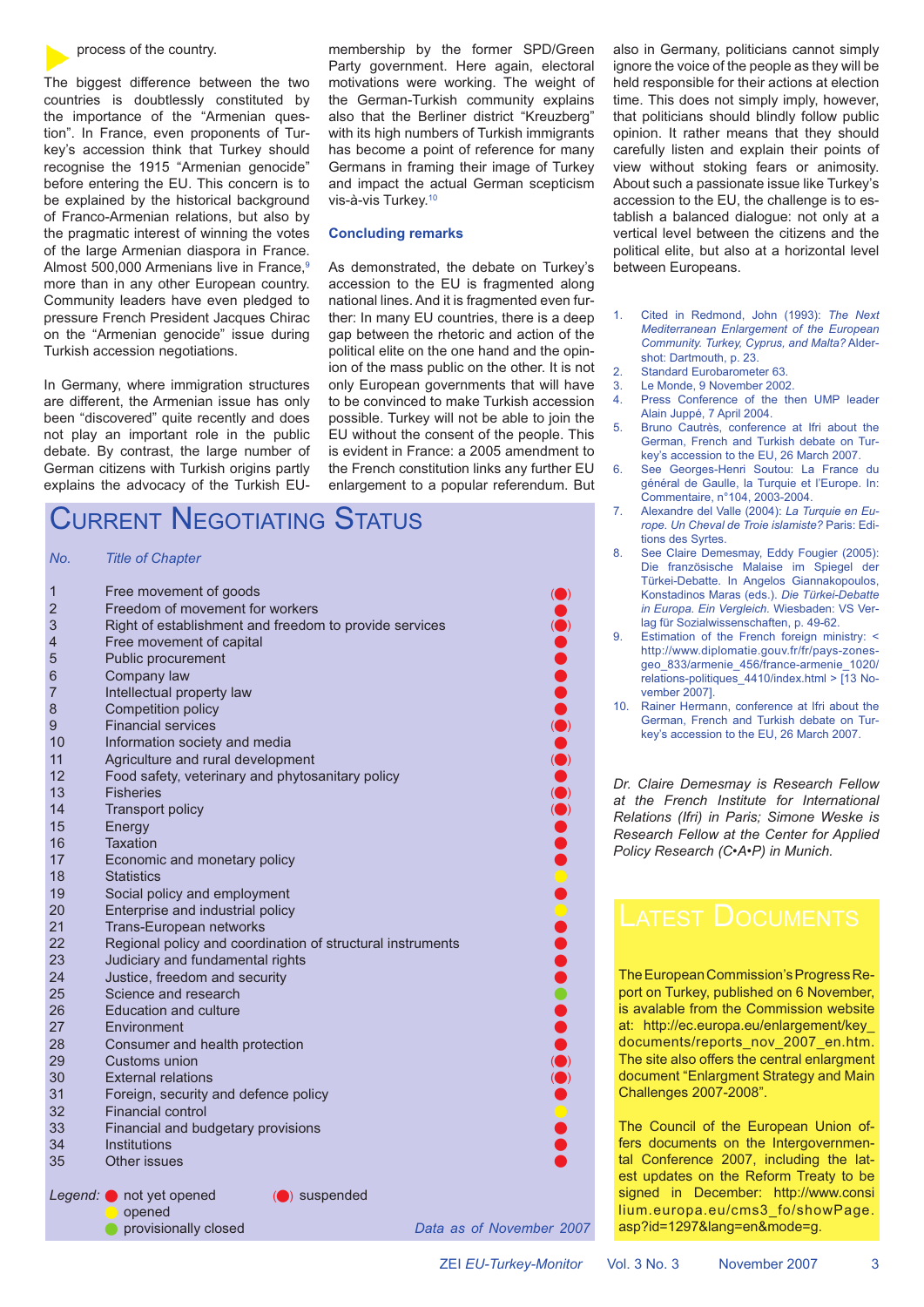

### process of the country.

The biggest difference between the two countries is doubtlessly constituted by the importance of the "Armenian question". In France, even proponents of Turkey's accession think that Turkey should recognise the 1915 "Armenian genocide" before entering the EU. This concern is to be explained by the historical background of Franco-Armenian relations, but also by the pragmatic interest of winning the votes of the large Armenian diaspora in France. Almost 500,000 Armenians live in France,<sup>9</sup> more than in any other European country. Community leaders have even pledged to pressure French President Jacques Chirac on the "Armenian genocide" issue during Turkish accession negotiations.

In Germany, where immigration structures are different, the Armenian issue has only been "discovered" quite recently and does not play an important role in the public debate. By contrast, the large number of German citizens with Turkish origins partly explains the advocacy of the Turkish EU-

CURRENT NEGOTIATING STATUS

#### *No. Title of Chapter*

| Free movement of goods<br>1                                              |                          |
|--------------------------------------------------------------------------|--------------------------|
| $\overline{2}$<br>Freedom of movement for workers                        |                          |
| 3<br>Right of establishment and freedom to provide services              |                          |
| 4<br>Free movement of capital                                            |                          |
| 5<br>Public procurement                                                  |                          |
| 6<br>Company law                                                         |                          |
| 7<br>Intellectual property law                                           |                          |
| 8<br>Competition policy                                                  |                          |
| 9<br><b>Financial services</b>                                           |                          |
| 10<br>Information society and media                                      |                          |
| 11<br>Agriculture and rural development                                  |                          |
| 12<br>Food safety, veterinary and phytosanitary policy                   |                          |
| 13<br><b>Fisheries</b>                                                   |                          |
| 14<br><b>Transport policy</b>                                            |                          |
| 15<br>Energy                                                             |                          |
| 16<br>Taxation                                                           |                          |
| 17<br>Economic and monetary policy                                       |                          |
| 18<br><b>Statistics</b>                                                  |                          |
| 19<br>Social policy and employment                                       |                          |
| 20<br>Enterprise and industrial policy                                   |                          |
| 21<br>Trans-European networks                                            |                          |
| 22<br>Regional policy and coordination of structural instruments         |                          |
| 23<br>Judiciary and fundamental rights                                   |                          |
| 24<br>Justice, freedom and security                                      |                          |
| 25<br>Science and research                                               |                          |
| 26<br><b>Education and culture</b>                                       |                          |
| 27<br>Environment                                                        |                          |
| 28<br>Consumer and health protection                                     |                          |
| 29<br>Customs union                                                      |                          |
| 30<br><b>External relations</b>                                          |                          |
| 31<br>Foreign, security and defence policy<br>32                         |                          |
| <b>Financial control</b>                                                 |                          |
| 33<br>Financial and budgetary provisions<br>34<br>Institutions           |                          |
|                                                                          |                          |
| 35<br>Other issues                                                       |                          |
| not yet opened<br>$\left(\bigcirc\right)$ suspended<br>Legend:<br>opened |                          |
| provisionally closed                                                     | Data as of November 2007 |

also in Germany, politicians cannot simply ignore the voice of the people as they will be held responsible for their actions at election time. This does not simply imply, however, that politicians should blindly follow public opinion. It rather means that they should carefully listen and explain their points of view without stoking fears or animosity. About such a passionate issue like Turkey's accession to the EU, the challenge is to establish a balanced dialogue: not only at a vertical level between the citizens and the political elite, but also at a horizontal level between Europeans.

- 1. Cited in Redmond, John (1993): *The Next Mediterranean Enlargement of the European Community. Turkey, Cyprus, and Malta?* Aldershot: Dartmouth, p. 23.
- 2. Standard Eurobarometer 63
- 3. Le Monde, 9 November 2002.
- 4. Press Conference of the then UMP leader Alain Juppé, 7 April 2004.
- 5. Bruno Cautrès, conference at Ifri about the German, French and Turkish debate on Turkey's accession to the EU, 26 March 2007.
- 6. See Georges-Henri Soutou: La France du général de Gaulle, la Turquie et l'Europe. In: Commentaire, n°104, 2003-2004.
- 7. Alexandre del Valle (2004): *La Turquie en Europe. Un Cheval de Troie islamiste?* Paris: Editions des Syrtes.
- 8. See Claire Demesmay, Eddy Fougier (2005): Die französische Malaise im Spiegel der Türkei-Debatte. In Angelos Giannakopoulos, Konstadinos Maras (eds.). *Die Türkei-Debatte in Europa. Ein Vergleich.* Wiesbaden: VS Verlag für Sozialwissenschaften, p. 49-62.
- 9. Estimation of the French foreign ministry: < http://www.diplomatie.gouv.fr/fr/pays-zonesgeo\_833/armenie\_456/france-armenie\_1020/ relations-politiques\_4410/index.html > [13 November 2007].
- 10. Rainer Hermann, conference at Ifri about the German, French and Turkish debate on Turkey's accession to the EU, 26 March 2007.

*Dr. Claire Demesmay is Research Fellow at the French Institute for International Relations (Ifri) in Paris; Simone Weske is Research Fellow at the Center for Applied Policy Research (C•A•P) in Munich.*

The European Commission's Progress Report on Turkey, published on 6 November, is avalable from the Commission website at: http://ec.europa.eu/enlargement/key\_ documents/reports\_nov\_2007\_en.htm. The site also offers the central enlargment document "Enlargment Strategy and Main Challenges 2007-2008".

The Council of the European Union offers documents on the Intergovernmental Conference 2007, including the latest updates on the Reform Treaty to be signed in December: http://www.consi lium.europa.eu/cms3\_fo/showPage. asp?id=1297&lang=en&mode=g.

membership by the former SPD/Green Party government. Here again, electoral motivations were working. The weight of the German-Turkish community explains also that the Berliner district "Kreuzberg" with its high numbers of Turkish immigrants has become a point of reference for many Germans in framing their image of Turkey and impact the actual German scepticism

As demonstrated, the debate on Turkey's accession to the EU is fragmented along national lines. And it is fragmented even further: In many EU countries, there is a deep gap between the rhetoric and action of the political elite on the one hand and the opinion of the mass public on the other. It is not only European governments that will have to be convinced to make Turkish accession possible. Turkey will not be able to join the EU without the consent of the people. This is evident in France: a 2005 amendment to the French constitution links any further EU enlargement to a popular referendum. But

vis-à-vis Turkey.<sup>10</sup>

**Concluding remarks**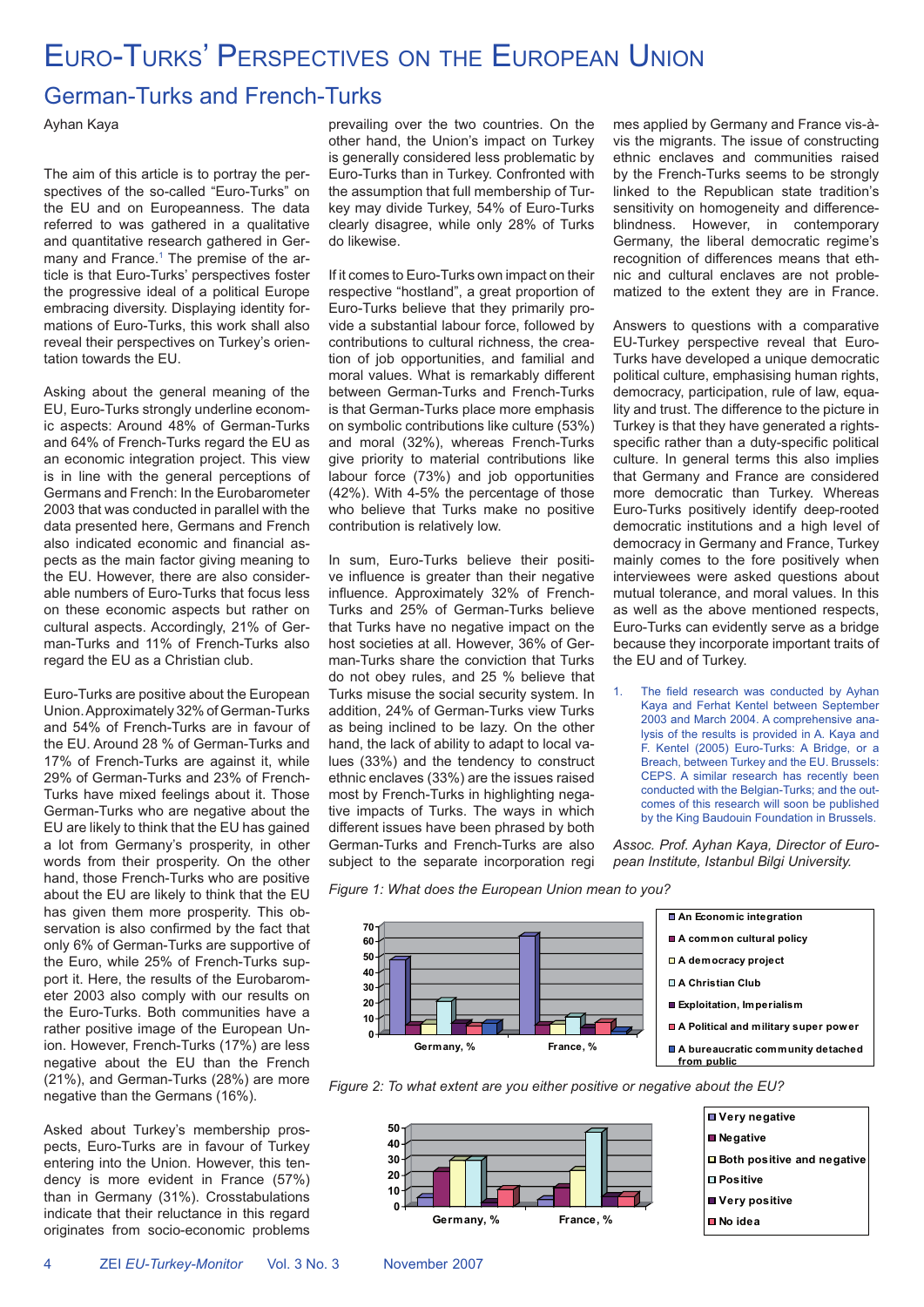### EURO-TURKS' PERSPECTIVES ON THE EUROPEAN UNION

### German-Turks and French-Turks

Ayhan Kaya

The aim of this article is to portray the perspectives of the so-called "Euro-Turks" on the EU and on Europeanness. The data referred to was gathered in a qualitative and quantitative research gathered in Germany and France.<sup>1</sup> The premise of the article is that Euro-Turks' perspectives foster the progressive ideal of a political Europe embracing diversity. Displaying identity formations of Euro-Turks, this work shall also reveal their perspectives on Turkey's orientation towards the EU.

Asking about the general meaning of the EU, Euro-Turks strongly underline economic aspects: Around 48% of German-Turks and 64% of French-Turks regard the EU as an economic integration project. This view is in line with the general perceptions of Germans and French: In the Eurobarometer 2003 that was conducted in parallel with the data presented here, Germans and French also indicated economic and financial aspects as the main factor giving meaning to the EU. However, there are also considerable numbers of Euro-Turks that focus less on these economic aspects but rather on cultural aspects. Accordingly, 21% of German-Turks and 11% of French-Turks also regard the EU as a Christian club.

Euro-Turks are positive about the European Union. Approximately 32% of German-Turks and 54% of French-Turks are in favour of the EU. Around 28 % of German-Turks and 17% of French-Turks are against it, while 29% of German-Turks and 23% of French-Turks have mixed feelings about it. Those German-Turks who are negative about the EU are likely to think that the EU has gained a lot from Germany's prosperity, in other words from their prosperity. On the other hand, those French-Turks who are positive about the EU are likely to think that the EU has given them more prosperity. This observation is also confirmed by the fact that only 6% of German-Turks are supportive of the Euro, while 25% of French-Turks support it. Here, the results of the Eurobarometer 2003 also comply with our results on the Euro-Turks. Both communities have a rather positive image of the European Union. However, French-Turks (17%) are less negative about the EU than the French (21%), and German-Turks (28%) are more negative than the Germans (16%).

Asked about Turkey's membership prospects, Euro-Turks are in favour of Turkey entering into the Union. However, this tendency is more evident in France (57%) than in Germany (31%). Crosstabulations indicate that their reluctance in this regard originates from socio-economic problems

prevailing over the two countries. On the other hand, the Union's impact on Turkey is generally considered less problematic by Euro-Turks than in Turkey. Confronted with the assumption that full membership of Turkey may divide Turkey, 54% of Euro-Turks clearly disagree, while only 28% of Turks do likewise.

If it comes to Euro-Turks own impact on their respective "hostland", a great proportion of Euro-Turks believe that they primarily provide a substantial labour force, followed by contributions to cultural richness, the creation of job opportunities, and familial and moral values. What is remarkably different between German-Turks and French-Turks is that German-Turks place more emphasis on symbolic contributions like culture (53%) and moral (32%), whereas French-Turks give priority to material contributions like labour force (73%) and job opportunities (42%). With 4-5% the percentage of those who believe that Turks make no positive contribution is relatively low.

In sum, Euro-Turks believe their positive influence is greater than their negative influence. Approximately 32% of French-Turks and 25% of German-Turks believe that Turks have no negative impact on the host societies at all. However, 36% of German-Turks share the conviction that Turks do not obey rules, and 25 % believe that Turks misuse the social security system. In addition, 24% of German-Turks view Turks as being inclined to be lazy. On the other hand, the lack of ability to adapt to local values (33%) and the tendency to construct ethnic enclaves (33%) are the issues raised most by French-Turks in highlighting negative impacts of Turks. The ways in which different issues have been phrased by both German-Turks and French-Turks are also subject to the separate incorporation regi

mes applied by Germany and France vis-àvis the migrants. The issue of constructing ethnic enclaves and communities raised by the French-Turks seems to be strongly linked to the Republican state tradition's sensitivity on homogeneity and differenceblindness. However, in contemporary Germany, the liberal democratic regime's recognition of differences means that ethnic and cultural enclaves are not problematized to the extent they are in France.

Answers to questions with a comparative EU-Turkey perspective reveal that Euro-Turks have developed a unique democratic political culture, emphasising human rights, democracy, participation, rule of law, equality and trust. The difference to the picture in Turkey is that they have generated a rightsspecific rather than a duty-specific political culture. In general terms this also implies that Germany and France are considered more democratic than Turkey. Whereas Euro-Turks positively identify deep-rooted democratic institutions and a high level of democracy in Germany and France, Turkey mainly comes to the fore positively when interviewees were asked questions about mutual tolerance, and moral values. In this as well as the above mentioned respects, Euro-Turks can evidently serve as a bridge because they incorporate important traits of the EU and of Turkey.

1. The field research was conducted by Ayhan Kaya and Ferhat Kentel between September 2003 and March 2004. A comprehensive analysis of the results is provided in A. Kaya and F. Kentel (2005) Euro-Turks: A Bridge, or a Breach, between Turkey and the EU. Brussels: CEPS. A similar research has recently been conducted with the Belgian-Turks; and the outcomes of this research will soon be published by the King Baudouin Foundation in Brussels.

*Assoc. Prof. Ayhan Kaya, Director of European Institute, Istanbul Bilgi University.*

*Figure 1: What does the European Union mean to you?*



*Figure 2: To what extent are you either positive or negative about the EU?*

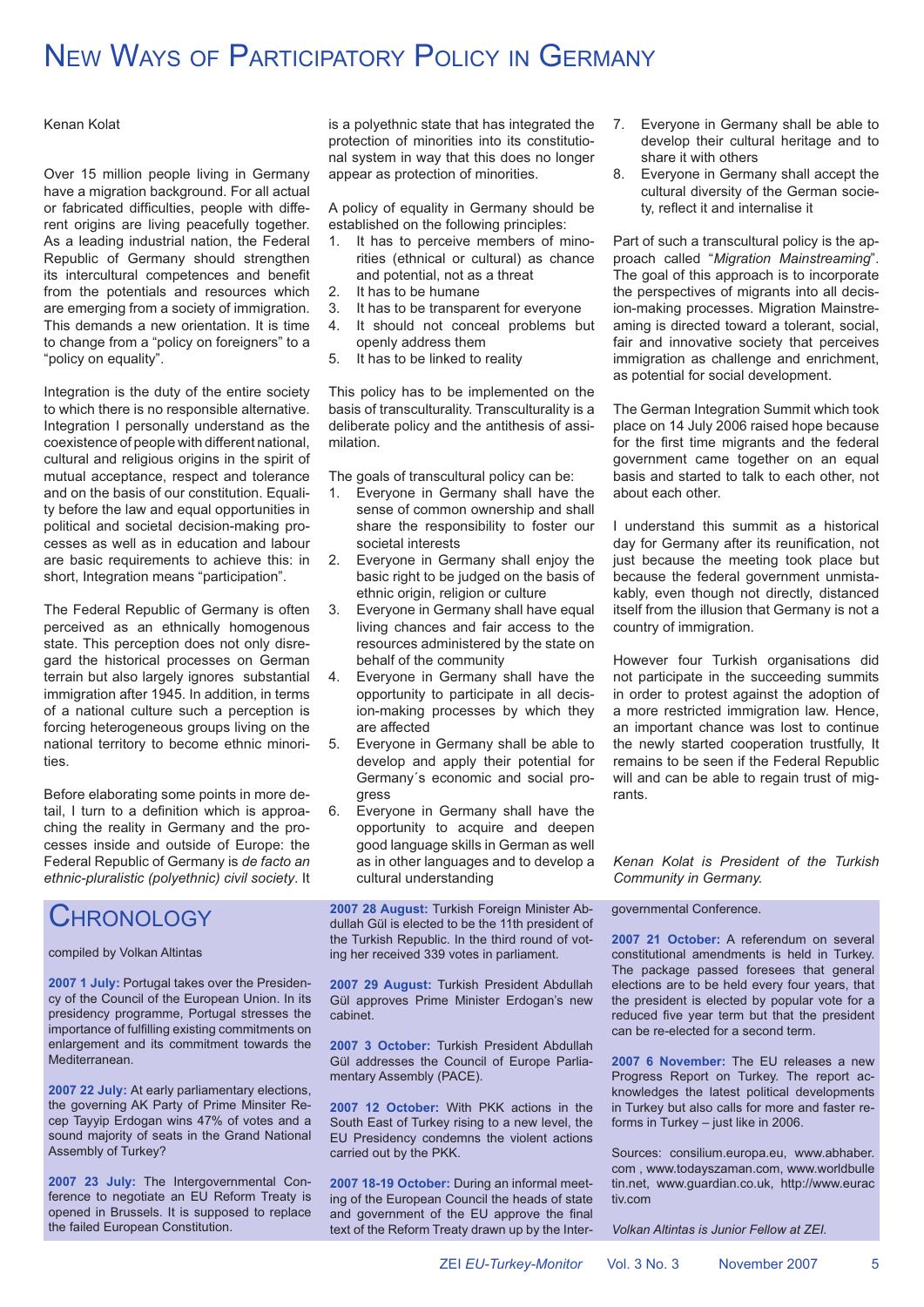## NEW WAYS OF PARTICIPATORY POLICY IN GERMANY

#### Kenan Kolat

Over 15 million people living in Germany have a migration background. For all actual or fabricated difficulties, people with different origins are living peacefully together. As a leading industrial nation, the Federal Republic of Germany should strengthen its intercultural competences and benefit from the potentials and resources which are emerging from a society of immigration. This demands a new orientation. It is time to change from a "policy on foreigners" to a "policy on equality".

Integration is the duty of the entire society to which there is no responsible alternative. Integration I personally understand as the coexistence of people with different national, cultural and religious origins in the spirit of mutual acceptance, respect and tolerance and on the basis of our constitution. Equality before the law and equal opportunities in political and societal decision-making processes as well as in education and labour are basic requirements to achieve this: in short, Integration means "participation".

The Federal Republic of Germany is often perceived as an ethnically homogenous state. This perception does not only disregard the historical processes on German terrain but also largely ignores substantial immigration after 1945. In addition, in terms of a national culture such a perception is forcing heterogeneous groups living on the national territory to become ethnic minorities.

Before elaborating some points in more detail, I turn to a definition which is approaching the reality in Germany and the processes inside and outside of Europe: the Federal Republic of Germany is *de facto an ethnic-pluralistic (polyethnic) civil society*. It

### CHRONOLOGY

compiled by Volkan Altintas

**2007 1 July:** Portugal takes over the Presidency of the Council of the European Union. In its presidency programme, Portugal stresses the importance of fulfilling existing commitments on enlargement and its commitment towards the Mediterranean.

**2007 22 July:** At early parliamentary elections, the governing AK Party of Prime Minsiter Recep Tayyip Erdogan wins 47% of votes and a sound majority of seats in the Grand National Assembly of Turkey?

**2007 23 July:** The Intergovernmental Conference to negotiate an EU Reform Treaty is opened in Brussels. It is supposed to replace the failed European Constitution.

is a polyethnic state that has integrated the protection of minorities into its constitutional system in way that this does no longer appear as protection of minorities.

A policy of equality in Germany should be established on the following principles:

- 1. It has to perceive members of minorities (ethnical or cultural) as chance and potential, not as a threat
- 2. It has to be humane
- 3. It has to be transparent for everyone
- 4. It should not conceal problems but openly address them
- 5. It has to be linked to reality

This policy has to be implemented on the basis of transculturality. Transculturality is a deliberate policy and the antithesis of assimilation.

The goals of transcultural policy can be:

- 1. Everyone in Germany shall have the sense of common ownership and shall share the responsibility to foster our societal interests
- 2. Everyone in Germany shall enjoy the basic right to be judged on the basis of ethnic origin, religion or culture
- 3. Everyone in Germany shall have equal living chances and fair access to the resources administered by the state on behalf of the community
- 4. Everyone in Germany shall have the opportunity to participate in all decision-making processes by which they are affected
- 5. Everyone in Germany shall be able to develop and apply their potential for Germany´s economic and social progress
- 6. Everyone in Germany shall have the opportunity to acquire and deepen good language skills in German as well as in other languages and to develop a cultural understanding

**2007 28 August:** Turkish Foreign Minister Abdullah Gül is elected to be the 11th president of the Turkish Republic. In the third round of voting her received 339 votes in parliament.

**2007 29 August:** Turkish President Abdullah Gül approves Prime Minister Erdogan's new cabinet.

**2007 3 October:** Turkish President Abdullah Gül addresses the Council of Europe Parliamentary Assembly (PACE).

**2007 12 October:** With PKK actions in the South East of Turkey rising to a new level, the EU Presidency condemns the violent actions carried out by the PKK.

**2007 18-19 October:** During an informal meeting of the European Council the heads of state and government of the EU approve the final text of the Reform Treaty drawn up by the Inter-

- 7. Everyone in Germany shall be able to develop their cultural heritage and to share it with others
- 8. Everyone in Germany shall accept the cultural diversity of the German society, reflect it and internalise it

Part of such a transcultural policy is the approach called "*Migration Mainstreaming*". The goal of this approach is to incorporate the perspectives of migrants into all decision-making processes. Migration Mainstreaming is directed toward a tolerant, social, fair and innovative society that perceives immigration as challenge and enrichment, as potential for social development.

The German Integration Summit which took place on 14 July 2006 raised hope because for the first time migrants and the federal government came together on an equal basis and started to talk to each other, not about each other.

I understand this summit as a historical day for Germany after its reunification, not just because the meeting took place but because the federal government unmistakably, even though not directly, distanced itself from the illusion that Germany is not a country of immigration.

However four Turkish organisations did not participate in the succeeding summits in order to protest against the adoption of a more restricted immigration law. Hence, an important chance was lost to continue the newly started cooperation trustfully, It remains to be seen if the Federal Republic will and can be able to regain trust of migrants.

*Kenan Kolat is President of the Turkish Community in Germany.*

#### governmental Conference.

**2007 21 October:** A referendum on several constitutional amendments is held in Turkey. The package passed foresees that general elections are to be held every four years, that the president is elected by popular vote for a reduced five year term but that the president can be re-elected for a second term.

**2007 6 November:** The EU releases a new Progress Report on Turkey. The report acknowledges the latest political developments in Turkey but also calls for more and faster reforms in Turkey – just like in 2006.

Sources: consilium.europa.eu, www.abhaber. com , www.todayszaman.com, www.worldbulle tin.net, www.guardian.co.uk, http://www.eurac tiv.com

*Volkan Altintas is Junior Fellow at ZEI.*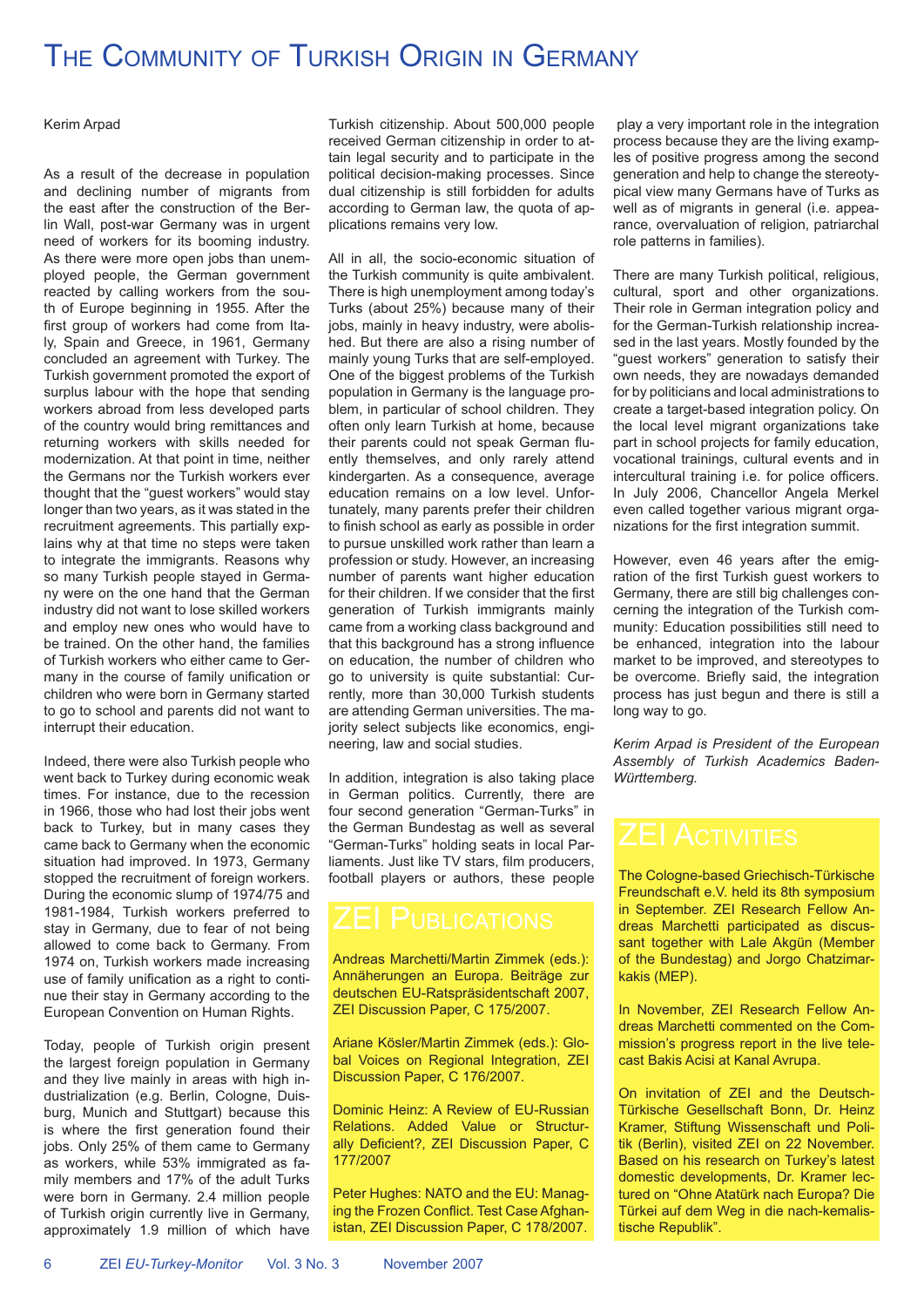### THE COMMUNITY OF TURKISH ORIGIN IN GERMANY

#### Kerim Arpad

As a result of the decrease in population and declining number of migrants from the east after the construction of the Berlin Wall, post-war Germany was in urgent need of workers for its booming industry. As there were more open jobs than unemployed people, the German government reacted by calling workers from the south of Europe beginning in 1955. After the first group of workers had come from Italy, Spain and Greece, in 1961, Germany concluded an agreement with Turkey. The Turkish government promoted the export of surplus labour with the hope that sending workers abroad from less developed parts of the country would bring remittances and returning workers with skills needed for modernization. At that point in time, neither the Germans nor the Turkish workers ever thought that the "guest workers" would stay longer than two years, as it was stated in the recruitment agreements. This partially explains why at that time no steps were taken to integrate the immigrants. Reasons why so many Turkish people stayed in Germany were on the one hand that the German industry did not want to lose skilled workers and employ new ones who would have to be trained. On the other hand, the families of Turkish workers who either came to Germany in the course of family unification or children who were born in Germany started to go to school and parents did not want to interrupt their education.

Indeed, there were also Turkish people who went back to Turkey during economic weak times. For instance, due to the recession in 1966, those who had lost their jobs went back to Turkey, but in many cases they came back to Germany when the economic situation had improved. In 1973, Germany stopped the recruitment of foreign workers. During the economic slump of 1974/75 and 1981-1984, Turkish workers preferred to stay in Germany, due to fear of not being allowed to come back to Germany. From 1974 on, Turkish workers made increasing use of family unification as a right to continue their stay in Germany according to the European Convention on Human Rights.

Today, people of Turkish origin present the largest foreign population in Germany and they live mainly in areas with high industrialization (e.g. Berlin, Cologne, Duisburg, Munich and Stuttgart) because this is where the first generation found their jobs. Only 25% of them came to Germany as workers, while 53% immigrated as family members and 17% of the adult Turks were born in Germany. 2.4 million people of Turkish origin currently live in Germany, approximately 1.9 million of which have Turkish citizenship. About 500,000 people received German citizenship in order to attain legal security and to participate in the political decision-making processes. Since dual citizenship is still forbidden for adults according to German law, the quota of applications remains very low.

All in all, the socio-economic situation of the Turkish community is quite ambivalent. There is high unemployment among today's Turks (about 25%) because many of their jobs, mainly in heavy industry, were abolished. But there are also a rising number of mainly young Turks that are self-employed. One of the biggest problems of the Turkish population in Germany is the language problem, in particular of school children. They often only learn Turkish at home, because their parents could not speak German fluently themselves, and only rarely attend kindergarten. As a consequence, average education remains on a low level. Unfortunately, many parents prefer their children to finish school as early as possible in order to pursue unskilled work rather than learn a profession or study. However, an increasing number of parents want higher education for their children. If we consider that the first generation of Turkish immigrants mainly came from a working class background and that this background has a strong influence on education, the number of children who go to university is quite substantial: Currently, more than 30,000 Turkish students are attending German universities. The majority select subjects like economics, engineering, law and social studies.

In addition, integration is also taking place in German politics. Currently, there are four second generation "German-Turks" in the German Bundestag as well as several "German-Turks" holding seats in local Parliaments. Just like TV stars, film producers, football players or authors, these people

Andreas Marchetti/Martin Zimmek (eds.): Annäherungen an Europa. Beiträge zur deutschen EU-Ratspräsidentschaft 2007, ZEI Discussion Paper, C 175/2007.

Ariane Kösler/Martin Zimmek (eds.): Global Voices on Regional Integration, ZEI Discussion Paper, C 176/2007.

Dominic Heinz: A Review of EU-Russian Relations. Added Value or Structurally Deficient?, ZEI Discussion Paper, C 177/2007

Peter Hughes: NATO and the EU: Managing the Frozen Conflict. Test Case Afghanistan, ZEI Discussion Paper, C 178/2007.

 play a very important role in the integration process because they are the living examples of positive progress among the second generation and help to change the stereotypical view many Germans have of Turks as well as of migrants in general (i.e. appearance, overvaluation of religion, patriarchal role patterns in families).

There are many Turkish political, religious, cultural, sport and other organizations. Their role in German integration policy and for the German-Turkish relationship increased in the last years. Mostly founded by the "guest workers" generation to satisfy their own needs, they are nowadays demanded for by politicians and local administrations to create a target-based integration policy. On the local level migrant organizations take part in school projects for family education, vocational trainings, cultural events and in intercultural training i.e. for police officers. In July 2006, Chancellor Angela Merkel even called together various migrant organizations for the first integration summit.

However, even 46 years after the emigration of the first Turkish guest workers to Germany, there are still big challenges concerning the integration of the Turkish community: Education possibilities still need to be enhanced, integration into the labour market to be improved, and stereotypes to be overcome. Briefly said, the integration process has just begun and there is still a long way to go.

*Kerim Arpad is President of the European Assembly of Turkish Academics Baden-Württemberg.*

The Cologne-based Griechisch-Türkische Freundschaft e.V. held its 8th symposium in September. ZEI Research Fellow Andreas Marchetti participated as discussant together with Lale Akgün (Member of the Bundestag) and Jorgo Chatzimarkakis (MEP).

In November, ZEI Research Fellow Andreas Marchetti commented on the Commission's progress report in the live telecast Bakis Acisi at Kanal Avrupa.

On invitation of ZEI and the Deutsch-Türkische Gesellschaft Bonn, Dr. Heinz Kramer, Stiftung Wissenschaft und Politik (Berlin), visited ZEI on 22 November. Based on his research on Turkey's latest domestic developments, Dr. Kramer lectured on "Ohne Atatürk nach Europa? Die Türkei auf dem Weg in die nach-kemalistische Republik".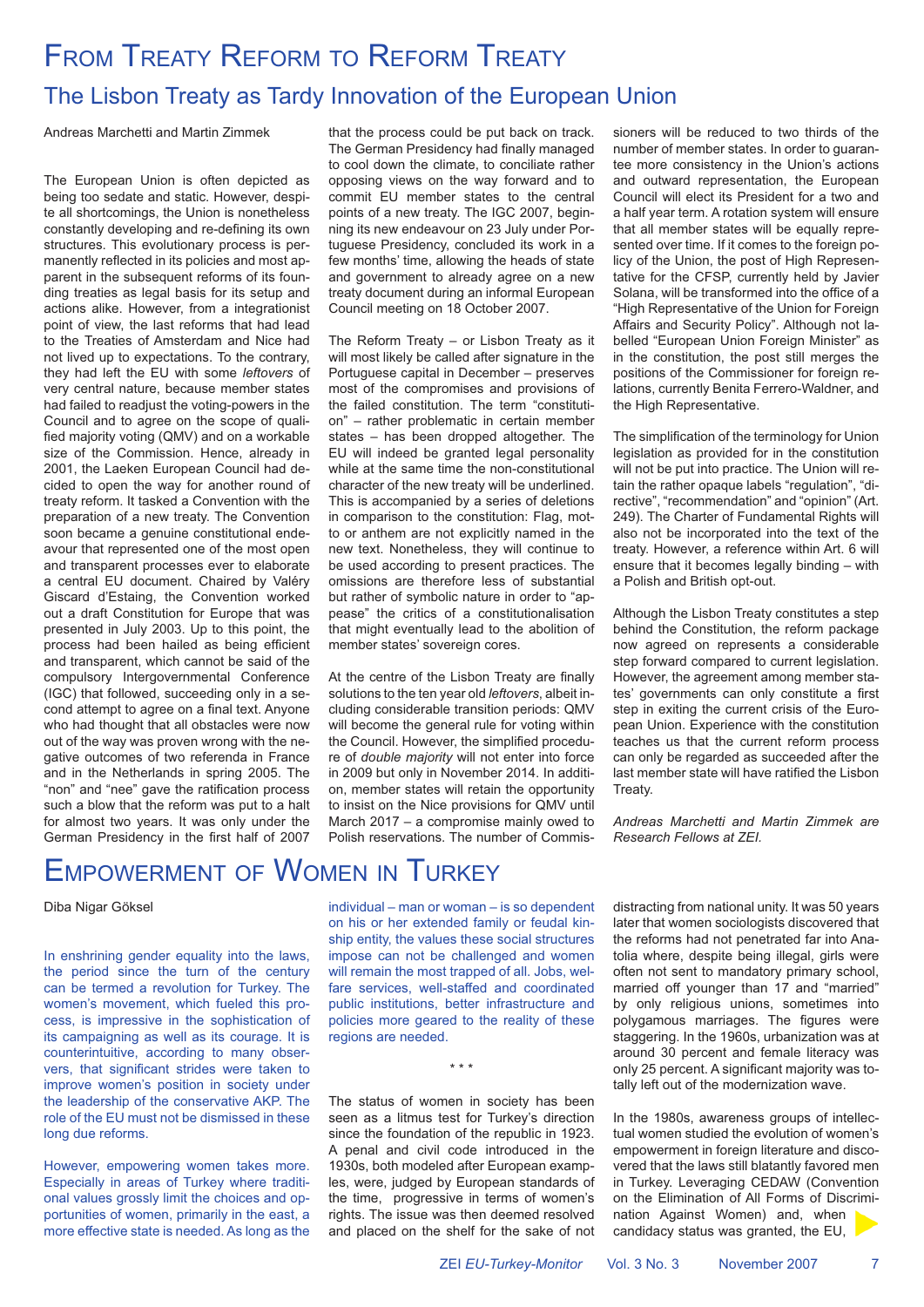# FROM TREATY REFORM TO REFORM TREATY The Lisbon Treaty as Tardy Innovation of the European Union

Andreas Marchetti and Martin Zimmek

The European Union is often depicted as being too sedate and static. However, despite all shortcomings, the Union is nonetheless constantly developing and re-defining its own structures. This evolutionary process is permanently reflected in its policies and most apparent in the subsequent reforms of its founding treaties as legal basis for its setup and actions alike. However, from a integrationist point of view, the last reforms that had lead to the Treaties of Amsterdam and Nice had not lived up to expectations. To the contrary, they had left the EU with some *leftovers* of very central nature, because member states had failed to readjust the voting-powers in the Council and to agree on the scope of qualified majority voting (QMV) and on a workable size of the Commission. Hence, already in 2001, the Laeken European Council had decided to open the way for another round of treaty reform. It tasked a Convention with the preparation of a new treaty. The Convention soon became a genuine constitutional endeavour that represented one of the most open and transparent processes ever to elaborate a central EU document. Chaired by Valéry Giscard d'Estaing, the Convention worked out a draft Constitution for Europe that was presented in July 2003. Up to this point, the process had been hailed as being efficient and transparent, which cannot be said of the compulsory Intergovernmental Conference (IGC) that followed, succeeding only in a second attempt to agree on a final text. Anyone who had thought that all obstacles were now out of the way was proven wrong with the negative outcomes of two referenda in France and in the Netherlands in spring 2005. The "non" and "nee" gave the ratification process such a blow that the reform was put to a halt for almost two years. It was only under the German Presidency in the first half of 2007 that the process could be put back on track. The German Presidency had finally managed to cool down the climate, to conciliate rather opposing views on the way forward and to commit EU member states to the central points of a new treaty. The IGC 2007, beginning its new endeavour on 23 July under Portuguese Presidency, concluded its work in a few months' time, allowing the heads of state and government to already agree on a new treaty document during an informal European Council meeting on 18 October 2007.

The Reform Treaty – or Lisbon Treaty as it will most likely be called after signature in the Portuguese capital in December – preserves most of the compromises and provisions of the failed constitution. The term "constitution" – rather problematic in certain member states – has been dropped altogether. The EU will indeed be granted legal personality while at the same time the non-constitutional character of the new treaty will be underlined. This is accompanied by a series of deletions in comparison to the constitution: Flag, motto or anthem are not explicitly named in the new text. Nonetheless, they will continue to be used according to present practices. The omissions are therefore less of substantial but rather of symbolic nature in order to "appease" the critics of a constitutionalisation that might eventually lead to the abolition of member states' sovereign cores.

At the centre of the Lisbon Treaty are finally solutions to the ten year old *leftovers*, albeit including considerable transition periods: QMV will become the general rule for voting within the Council. However, the simplified procedure of *double majority* will not enter into force in 2009 but only in November 2014. In addition, member states will retain the opportunity to insist on the Nice provisions for QMV until March 2017 – a compromise mainly owed to Polish reservations. The number of Commis-

### EMPOWERMENT OF WOMEN IN TURKEY

Diba Nigar Göksel

In enshrining gender equality into the laws, the period since the turn of the century can be termed a revolution for Turkey. The women's movement, which fueled this process, is impressive in the sophistication of its campaigning as well as its courage. It is counterintuitive, according to many observers, that significant strides were taken to improve women's position in society under the leadership of the conservative AKP. The role of the EU must not be dismissed in these long due reforms.

However, empowering women takes more. Especially in areas of Turkey where traditional values grossly limit the choices and opportunities of women, primarily in the east, a more effective state is needed. As long as the individual – man or woman – is so dependent on his or her extended family or feudal kinship entity, the values these social structures impose can not be challenged and women will remain the most trapped of all. Jobs, welfare services, well-staffed and coordinated public institutions, better infrastructure and policies more geared to the reality of these regions are needed.

\* \* \*

The status of women in society has been seen as a litmus test for Turkey's direction since the foundation of the republic in 1923. A penal and civil code introduced in the 1930s, both modeled after European examples, were, judged by European standards of the time, progressive in terms of women's rights. The issue was then deemed resolved and placed on the shelf for the sake of not

sioners will be reduced to two thirds of the number of member states. In order to guarantee more consistency in the Union's actions and outward representation, the European Council will elect its President for a two and a half year term. A rotation system will ensure that all member states will be equally represented over time. If it comes to the foreign policy of the Union, the post of High Representative for the CFSP, currently held by Javier Solana, will be transformed into the office of a "High Representative of the Union for Foreign Affairs and Security Policy". Although not labelled "European Union Foreign Minister" as in the constitution, the post still merges the positions of the Commissioner for foreign relations, currently Benita Ferrero-Waldner, and the High Representative.

The simplification of the terminology for Union legislation as provided for in the constitution will not be put into practice. The Union will retain the rather opaque labels "regulation", "directive", "recommendation" and "opinion" (Art. 249). The Charter of Fundamental Rights will also not be incorporated into the text of the treaty. However, a reference within Art. 6 will ensure that it becomes legally binding – with a Polish and British opt-out.

Although the Lisbon Treaty constitutes a step behind the Constitution, the reform package now agreed on represents a considerable step forward compared to current legislation. However, the agreement among member states' governments can only constitute a first step in exiting the current crisis of the European Union. Experience with the constitution teaches us that the current reform process can only be regarded as succeeded after the last member state will have ratified the Lisbon **Treaty** 

*Andreas Marchetti and Martin Zimmek are Research Fellows at ZEI.*

distracting from national unity. It was 50 years later that women sociologists discovered that the reforms had not penetrated far into Anatolia where, despite being illegal, girls were often not sent to mandatory primary school, married off younger than 17 and "married" by only religious unions, sometimes into polygamous marriages. The figures were staggering. In the 1960s, urbanization was at around 30 percent and female literacy was only 25 percent. A significant majority was totally left out of the modernization wave.

In the 1980s, awareness groups of intellectual women studied the evolution of women's empowerment in foreign literature and discovered that the laws still blatantly favored men in Turkey. Leveraging CEDAW (Convention on the Elimination of All Forms of Discrimination Against Women) and, when candidacy status was granted, the EU,